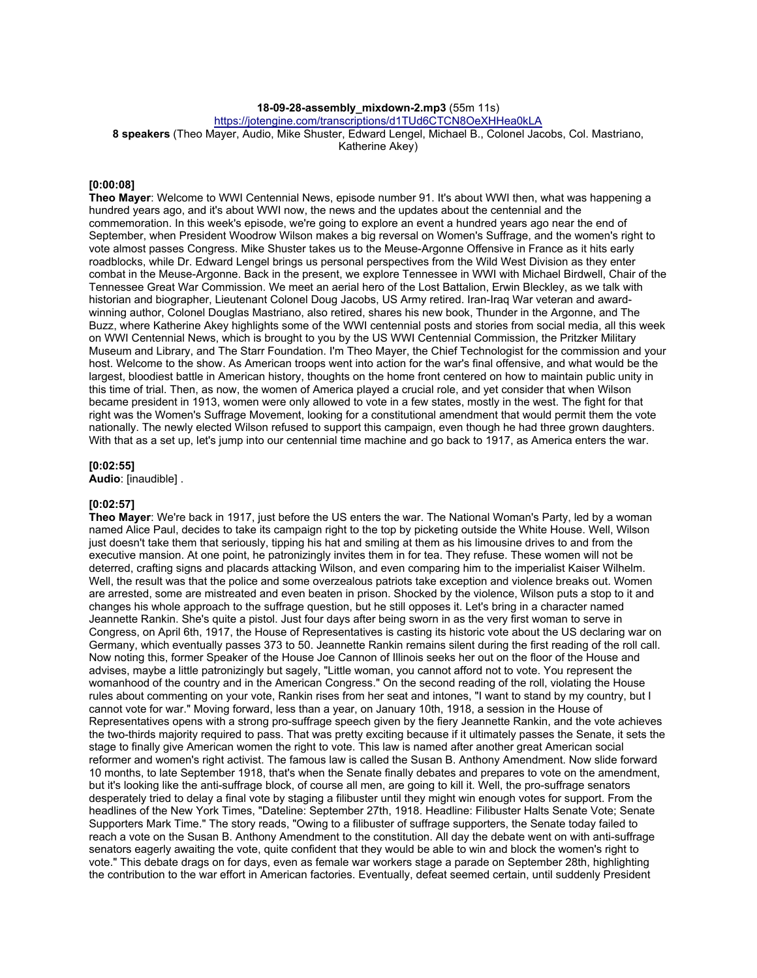## **18-09-28-assembly\_mixdown-2.mp3** (55m 11s)

https://jotengine.com/transcriptions/d1TUd6CTCN8OeXHHea0kLA

**8 speakers** (Theo Mayer, Audio, Mike Shuster, Edward Lengel, Michael B., Colonel Jacobs, Col. Mastriano, Katherine Akey)

### **[0:00:08]**

**Theo Mayer**: Welcome to WWI Centennial News, episode number 91. It's about WWI then, what was happening a hundred years ago, and it's about WWI now, the news and the updates about the centennial and the commemoration. In this week's episode, we're going to explore an event a hundred years ago near the end of September, when President Woodrow Wilson makes a big reversal on Women's Suffrage, and the women's right to vote almost passes Congress. Mike Shuster takes us to the Meuse-Argonne Offensive in France as it hits early roadblocks, while Dr. Edward Lengel brings us personal perspectives from the Wild West Division as they enter combat in the Meuse-Argonne. Back in the present, we explore Tennessee in WWI with Michael Birdwell, Chair of the Tennessee Great War Commission. We meet an aerial hero of the Lost Battalion, Erwin Bleckley, as we talk with historian and biographer, Lieutenant Colonel Doug Jacobs, US Army retired. Iran-Iraq War veteran and awardwinning author, Colonel Douglas Mastriano, also retired, shares his new book, Thunder in the Argonne, and The Buzz, where Katherine Akey highlights some of the WWI centennial posts and stories from social media, all this week on WWI Centennial News, which is brought to you by the US WWI Centennial Commission, the Pritzker Military Museum and Library, and The Starr Foundation. I'm Theo Mayer, the Chief Technologist for the commission and your host. Welcome to the show. As American troops went into action for the war's final offensive, and what would be the largest, bloodiest battle in American history, thoughts on the home front centered on how to maintain public unity in this time of trial. Then, as now, the women of America played a crucial role, and yet consider that when Wilson became president in 1913, women were only allowed to vote in a few states, mostly in the west. The fight for that right was the Women's Suffrage Movement, looking for a constitutional amendment that would permit them the vote nationally. The newly elected Wilson refused to support this campaign, even though he had three grown daughters. With that as a set up, let's jump into our centennial time machine and go back to 1917, as America enters the war.

#### **[0:02:55]**

**Audio**: [inaudible] .

# **[0:02:57]**

**Theo Mayer**: We're back in 1917, just before the US enters the war. The National Woman's Party, led by a woman named Alice Paul, decides to take its campaign right to the top by picketing outside the White House. Well, Wilson just doesn't take them that seriously, tipping his hat and smiling at them as his limousine drives to and from the executive mansion. At one point, he patronizingly invites them in for tea. They refuse. These women will not be deterred, crafting signs and placards attacking Wilson, and even comparing him to the imperialist Kaiser Wilhelm. Well, the result was that the police and some overzealous patriots take exception and violence breaks out. Women are arrested, some are mistreated and even beaten in prison. Shocked by the violence, Wilson puts a stop to it and changes his whole approach to the suffrage question, but he still opposes it. Let's bring in a character named Jeannette Rankin. She's quite a pistol. Just four days after being sworn in as the very first woman to serve in Congress, on April 6th, 1917, the House of Representatives is casting its historic vote about the US declaring war on Germany, which eventually passes 373 to 50. Jeannette Rankin remains silent during the first reading of the roll call. Now noting this, former Speaker of the House Joe Cannon of Illinois seeks her out on the floor of the House and advises, maybe a little patronizingly but sagely, "Little woman, you cannot afford not to vote. You represent the womanhood of the country and in the American Congress." On the second reading of the roll, violating the House rules about commenting on your vote, Rankin rises from her seat and intones, "I want to stand by my country, but I cannot vote for war." Moving forward, less than a year, on January 10th, 1918, a session in the House of Representatives opens with a strong pro-suffrage speech given by the fiery Jeannette Rankin, and the vote achieves the two-thirds majority required to pass. That was pretty exciting because if it ultimately passes the Senate, it sets the stage to finally give American women the right to vote. This law is named after another great American social reformer and women's right activist. The famous law is called the Susan B. Anthony Amendment. Now slide forward 10 months, to late September 1918, that's when the Senate finally debates and prepares to vote on the amendment, but it's looking like the anti-suffrage block, of course all men, are going to kill it. Well, the pro-suffrage senators desperately tried to delay a final vote by staging a filibuster until they might win enough votes for support. From the headlines of the New York Times, "Dateline: September 27th, 1918. Headline: Filibuster Halts Senate Vote; Senate Supporters Mark Time." The story reads, "Owing to a filibuster of suffrage supporters, the Senate today failed to reach a vote on the Susan B. Anthony Amendment to the constitution. All day the debate went on with anti-suffrage senators eagerly awaiting the vote, quite confident that they would be able to win and block the women's right to vote." This debate drags on for days, even as female war workers stage a parade on September 28th, highlighting the contribution to the war effort in American factories. Eventually, defeat seemed certain, until suddenly President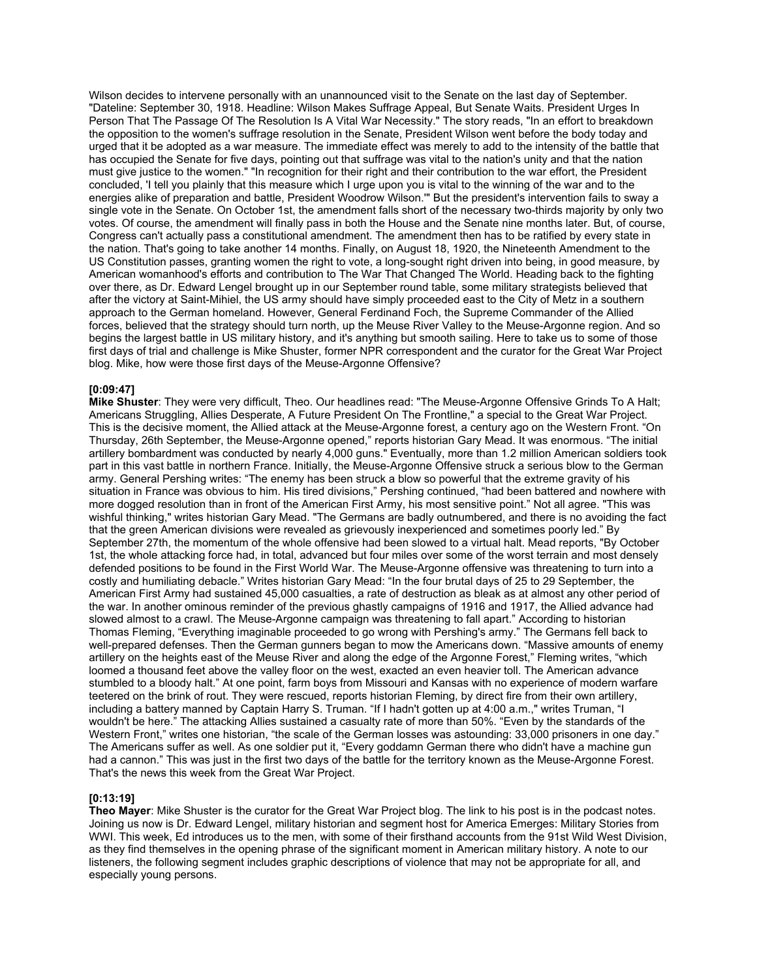Wilson decides to intervene personally with an unannounced visit to the Senate on the last day of September. "Dateline: September 30, 1918. Headline: Wilson Makes Suffrage Appeal, But Senate Waits. President Urges In Person That The Passage Of The Resolution Is A Vital War Necessity." The story reads, "In an effort to breakdown the opposition to the women's suffrage resolution in the Senate, President Wilson went before the body today and urged that it be adopted as a war measure. The immediate effect was merely to add to the intensity of the battle that has occupied the Senate for five days, pointing out that suffrage was vital to the nation's unity and that the nation must give justice to the women." "In recognition for their right and their contribution to the war effort, the President concluded, 'I tell you plainly that this measure which I urge upon you is vital to the winning of the war and to the energies alike of preparation and battle, President Woodrow Wilson.'" But the president's intervention fails to sway a single vote in the Senate. On October 1st, the amendment falls short of the necessary two-thirds majority by only two votes. Of course, the amendment will finally pass in both the House and the Senate nine months later. But, of course, Congress can't actually pass a constitutional amendment. The amendment then has to be ratified by every state in the nation. That's going to take another 14 months. Finally, on August 18, 1920, the Nineteenth Amendment to the US Constitution passes, granting women the right to vote, a long-sought right driven into being, in good measure, by American womanhood's efforts and contribution to The War That Changed The World. Heading back to the fighting over there, as Dr. Edward Lengel brought up in our September round table, some military strategists believed that after the victory at Saint-Mihiel, the US army should have simply proceeded east to the City of Metz in a southern approach to the German homeland. However, General Ferdinand Foch, the Supreme Commander of the Allied forces, believed that the strategy should turn north, up the Meuse River Valley to the Meuse-Argonne region. And so begins the largest battle in US military history, and it's anything but smooth sailing. Here to take us to some of those first days of trial and challenge is Mike Shuster, former NPR correspondent and the curator for the Great War Project blog. Mike, how were those first days of the Meuse-Argonne Offensive?

### **[0:09:47]**

**Mike Shuster**: They were very difficult, Theo. Our headlines read: "The Meuse-Argonne Offensive Grinds To A Halt; Americans Struggling, Allies Desperate, A Future President On The Frontline," a special to the Great War Project. This is the decisive moment, the Allied attack at the Meuse-Argonne forest, a century ago on the Western Front. "On Thursday, 26th September, the Meuse-Argonne opened," reports historian Gary Mead. It was enormous. "The initial artillery bombardment was conducted by nearly 4,000 guns." Eventually, more than 1.2 million American soldiers took part in this vast battle in northern France. Initially, the Meuse-Argonne Offensive struck a serious blow to the German army. General Pershing writes: "The enemy has been struck a blow so powerful that the extreme gravity of his situation in France was obvious to him. His tired divisions," Pershing continued, "had been battered and nowhere with more dogged resolution than in front of the American First Army, his most sensitive point." Not all agree. "This was wishful thinking," writes historian Gary Mead. "The Germans are badly outnumbered, and there is no avoiding the fact that the green American divisions were revealed as grievously inexperienced and sometimes poorly led." By September 27th, the momentum of the whole offensive had been slowed to a virtual halt. Mead reports, "By October 1st, the whole attacking force had, in total, advanced but four miles over some of the worst terrain and most densely defended positions to be found in the First World War. The Meuse-Argonne offensive was threatening to turn into a costly and humiliating debacle." Writes historian Gary Mead: "In the four brutal days of 25 to 29 September, the American First Army had sustained 45,000 casualties, a rate of destruction as bleak as at almost any other period of the war. In another ominous reminder of the previous ghastly campaigns of 1916 and 1917, the Allied advance had slowed almost to a crawl. The Meuse-Argonne campaign was threatening to fall apart." According to historian Thomas Fleming, "Everything imaginable proceeded to go wrong with Pershing's army." The Germans fell back to well-prepared defenses. Then the German gunners began to mow the Americans down. "Massive amounts of enemy artillery on the heights east of the Meuse River and along the edge of the Argonne Forest," Fleming writes, "which loomed a thousand feet above the valley floor on the west, exacted an even heavier toll. The American advance stumbled to a bloody halt." At one point, farm boys from Missouri and Kansas with no experience of modern warfare teetered on the brink of rout. They were rescued, reports historian Fleming, by direct fire from their own artillery, including a battery manned by Captain Harry S. Truman. "If I hadn't gotten up at 4:00 a.m.," writes Truman, "I wouldn't be here." The attacking Allies sustained a casualty rate of more than 50%. "Even by the standards of the Western Front," writes one historian, "the scale of the German losses was astounding: 33,000 prisoners in one day." The Americans suffer as well. As one soldier put it, "Every goddamn German there who didn't have a machine gun had a cannon." This was just in the first two days of the battle for the territory known as the Meuse-Argonne Forest. That's the news this week from the Great War Project.

### **[0:13:19]**

**Theo Mayer**: Mike Shuster is the curator for the Great War Project blog. The link to his post is in the podcast notes. Joining us now is Dr. Edward Lengel, military historian and segment host for America Emerges: Military Stories from WWI. This week, Ed introduces us to the men, with some of their firsthand accounts from the 91st Wild West Division, as they find themselves in the opening phrase of the significant moment in American military history. A note to our listeners, the following segment includes graphic descriptions of violence that may not be appropriate for all, and especially young persons.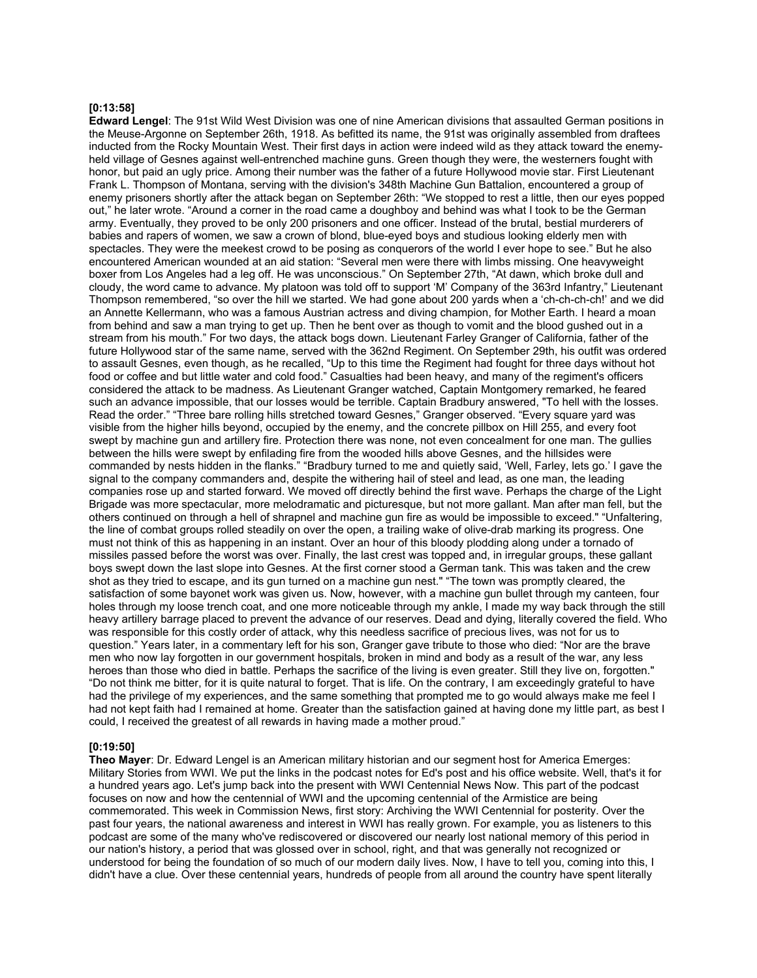### **[0:13:58]**

**Edward Lengel**: The 91st Wild West Division was one of nine American divisions that assaulted German positions in the Meuse-Argonne on September 26th, 1918. As befitted its name, the 91st was originally assembled from draftees inducted from the Rocky Mountain West. Their first days in action were indeed wild as they attack toward the enemyheld village of Gesnes against well-entrenched machine guns. Green though they were, the westerners fought with honor, but paid an ugly price. Among their number was the father of a future Hollywood movie star. First Lieutenant Frank L. Thompson of Montana, serving with the division's 348th Machine Gun Battalion, encountered a group of enemy prisoners shortly after the attack began on September 26th: "We stopped to rest a little, then our eyes popped out," he later wrote. "Around a corner in the road came a doughboy and behind was what I took to be the German army. Eventually, they proved to be only 200 prisoners and one officer. Instead of the brutal, bestial murderers of babies and rapers of women, we saw a crown of blond, blue-eyed boys and studious looking elderly men with spectacles. They were the meekest crowd to be posing as conquerors of the world I ever hope to see." But he also encountered American wounded at an aid station: "Several men were there with limbs missing. One heavyweight boxer from Los Angeles had a leg off. He was unconscious." On September 27th, "At dawn, which broke dull and cloudy, the word came to advance. My platoon was told off to support 'M' Company of the 363rd Infantry," Lieutenant Thompson remembered, "so over the hill we started. We had gone about 200 yards when a 'ch-ch-ch-ch!' and we did an Annette Kellermann, who was a famous Austrian actress and diving champion, for Mother Earth. I heard a moan from behind and saw a man trying to get up. Then he bent over as though to vomit and the blood gushed out in a stream from his mouth." For two days, the attack bogs down. Lieutenant Farley Granger of California, father of the future Hollywood star of the same name, served with the 362nd Regiment. On September 29th, his outfit was ordered to assault Gesnes, even though, as he recalled, "Up to this time the Regiment had fought for three days without hot food or coffee and but little water and cold food." Casualties had been heavy, and many of the regiment's officers considered the attack to be madness. As Lieutenant Granger watched, Captain Montgomery remarked, he feared such an advance impossible, that our losses would be terrible. Captain Bradbury answered, "To hell with the losses. Read the order." "Three bare rolling hills stretched toward Gesnes," Granger observed. "Every square yard was visible from the higher hills beyond, occupied by the enemy, and the concrete pillbox on Hill 255, and every foot swept by machine gun and artillery fire. Protection there was none, not even concealment for one man. The gullies between the hills were swept by enfilading fire from the wooded hills above Gesnes, and the hillsides were commanded by nests hidden in the flanks." "Bradbury turned to me and quietly said, 'Well, Farley, lets go.' I gave the signal to the company commanders and, despite the withering hail of steel and lead, as one man, the leading companies rose up and started forward. We moved off directly behind the first wave. Perhaps the charge of the Light Brigade was more spectacular, more melodramatic and picturesque, but not more gallant. Man after man fell, but the others continued on through a hell of shrapnel and machine gun fire as would be impossible to exceed." "Unfaltering, the line of combat groups rolled steadily on over the open, a trailing wake of olive-drab marking its progress. One must not think of this as happening in an instant. Over an hour of this bloody plodding along under a tornado of missiles passed before the worst was over. Finally, the last crest was topped and, in irregular groups, these gallant boys swept down the last slope into Gesnes. At the first corner stood a German tank. This was taken and the crew shot as they tried to escape, and its gun turned on a machine gun nest." "The town was promptly cleared, the satisfaction of some bayonet work was given us. Now, however, with a machine gun bullet through my canteen, four holes through my loose trench coat, and one more noticeable through my ankle, I made my way back through the still heavy artillery barrage placed to prevent the advance of our reserves. Dead and dying, literally covered the field. Who was responsible for this costly order of attack, why this needless sacrifice of precious lives, was not for us to question." Years later, in a commentary left for his son, Granger gave tribute to those who died: "Nor are the brave men who now lay forgotten in our government hospitals, broken in mind and body as a result of the war, any less heroes than those who died in battle. Perhaps the sacrifice of the living is even greater. Still they live on, forgotten." "Do not think me bitter, for it is quite natural to forget. That is life. On the contrary, I am exceedingly grateful to have had the privilege of my experiences, and the same something that prompted me to go would always make me feel I had not kept faith had I remained at home. Greater than the satisfaction gained at having done my little part, as best I could, I received the greatest of all rewards in having made a mother proud."

#### **[0:19:50]**

**Theo Mayer**: Dr. Edward Lengel is an American military historian and our segment host for America Emerges: Military Stories from WWI. We put the links in the podcast notes for Ed's post and his office website. Well, that's it for a hundred years ago. Let's jump back into the present with WWI Centennial News Now. This part of the podcast focuses on now and how the centennial of WWI and the upcoming centennial of the Armistice are being commemorated. This week in Commission News, first story: Archiving the WWI Centennial for posterity. Over the past four years, the national awareness and interest in WWI has really grown. For example, you as listeners to this podcast are some of the many who've rediscovered or discovered our nearly lost national memory of this period in our nation's history, a period that was glossed over in school, right, and that was generally not recognized or understood for being the foundation of so much of our modern daily lives. Now, I have to tell you, coming into this, I didn't have a clue. Over these centennial years, hundreds of people from all around the country have spent literally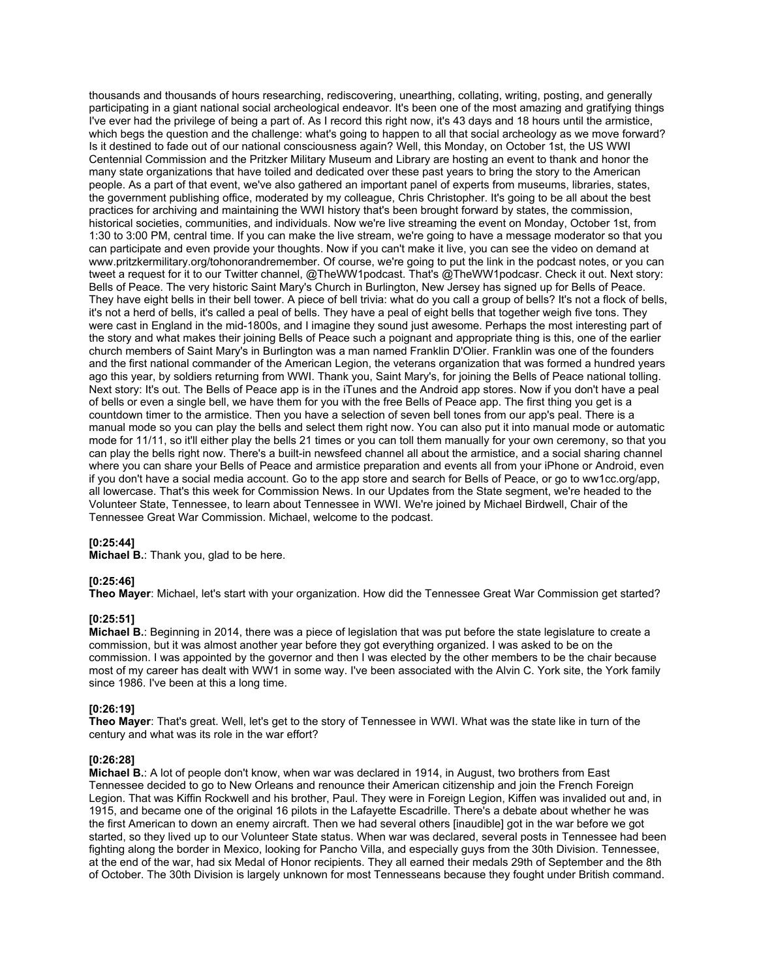thousands and thousands of hours researching, rediscovering, unearthing, collating, writing, posting, and generally participating in a giant national social archeological endeavor. It's been one of the most amazing and gratifying things I've ever had the privilege of being a part of. As I record this right now, it's 43 days and 18 hours until the armistice, which begs the question and the challenge: what's going to happen to all that social archeology as we move forward? Is it destined to fade out of our national consciousness again? Well, this Monday, on October 1st, the US WWI Centennial Commission and the Pritzker Military Museum and Library are hosting an event to thank and honor the many state organizations that have toiled and dedicated over these past years to bring the story to the American people. As a part of that event, we've also gathered an important panel of experts from museums, libraries, states, the government publishing office, moderated by my colleague, Chris Christopher. It's going to be all about the best practices for archiving and maintaining the WWI history that's been brought forward by states, the commission, historical societies, communities, and individuals. Now we're live streaming the event on Monday, October 1st, from 1:30 to 3:00 PM, central time. If you can make the live stream, we're going to have a message moderator so that you can participate and even provide your thoughts. Now if you can't make it live, you can see the video on demand at www.pritzkermilitary.org/tohonorandremember. Of course, we're going to put the link in the podcast notes, or you can tweet a request for it to our Twitter channel, @TheWW1podcast. That's @TheWW1podcasr. Check it out. Next story: Bells of Peace. The very historic Saint Mary's Church in Burlington, New Jersey has signed up for Bells of Peace. They have eight bells in their bell tower. A piece of bell trivia: what do you call a group of bells? It's not a flock of bells, it's not a herd of bells, it's called a peal of bells. They have a peal of eight bells that together weigh five tons. They were cast in England in the mid-1800s, and I imagine they sound just awesome. Perhaps the most interesting part of the story and what makes their joining Bells of Peace such a poignant and appropriate thing is this, one of the earlier church members of Saint Mary's in Burlington was a man named Franklin D'Olier. Franklin was one of the founders and the first national commander of the American Legion, the veterans organization that was formed a hundred years ago this year, by soldiers returning from WWI. Thank you, Saint Mary's, for joining the Bells of Peace national tolling. Next story: It's out. The Bells of Peace app is in the iTunes and the Android app stores. Now if you don't have a peal of bells or even a single bell, we have them for you with the free Bells of Peace app. The first thing you get is a countdown timer to the armistice. Then you have a selection of seven bell tones from our app's peal. There is a manual mode so you can play the bells and select them right now. You can also put it into manual mode or automatic mode for 11/11, so it'll either play the bells 21 times or you can toll them manually for your own ceremony, so that you can play the bells right now. There's a built-in newsfeed channel all about the armistice, and a social sharing channel where you can share your Bells of Peace and armistice preparation and events all from your iPhone or Android, even if you don't have a social media account. Go to the app store and search for Bells of Peace, or go to ww1cc.org/app, all lowercase. That's this week for Commission News. In our Updates from the State segment, we're headed to the Volunteer State, Tennessee, to learn about Tennessee in WWI. We're joined by Michael Birdwell, Chair of the Tennessee Great War Commission. Michael, welcome to the podcast.

### **[0:25:44]**

**Michael B.**: Thank you, glad to be here.

### **[0:25:46]**

**Theo Mayer**: Michael, let's start with your organization. How did the Tennessee Great War Commission get started?

### **[0:25:51]**

**Michael B.**: Beginning in 2014, there was a piece of legislation that was put before the state legislature to create a commission, but it was almost another year before they got everything organized. I was asked to be on the commission. I was appointed by the governor and then I was elected by the other members to be the chair because most of my career has dealt with WW1 in some way. I've been associated with the Alvin C. York site, the York family since 1986. I've been at this a long time.

### **[0:26:19]**

**Theo Mayer**: That's great. Well, let's get to the story of Tennessee in WWI. What was the state like in turn of the century and what was its role in the war effort?

### **[0:26:28]**

**Michael B.**: A lot of people don't know, when war was declared in 1914, in August, two brothers from East Tennessee decided to go to New Orleans and renounce their American citizenship and join the French Foreign Legion. That was Kiffin Rockwell and his brother, Paul. They were in Foreign Legion, Kiffen was invalided out and, in 1915, and became one of the original 16 pilots in the Lafayette Escadrille. There's a debate about whether he was the first American to down an enemy aircraft. Then we had several others [inaudible] got in the war before we got started, so they lived up to our Volunteer State status. When war was declared, several posts in Tennessee had been fighting along the border in Mexico, looking for Pancho Villa, and especially guys from the 30th Division. Tennessee, at the end of the war, had six Medal of Honor recipients. They all earned their medals 29th of September and the 8th of October. The 30th Division is largely unknown for most Tennesseans because they fought under British command.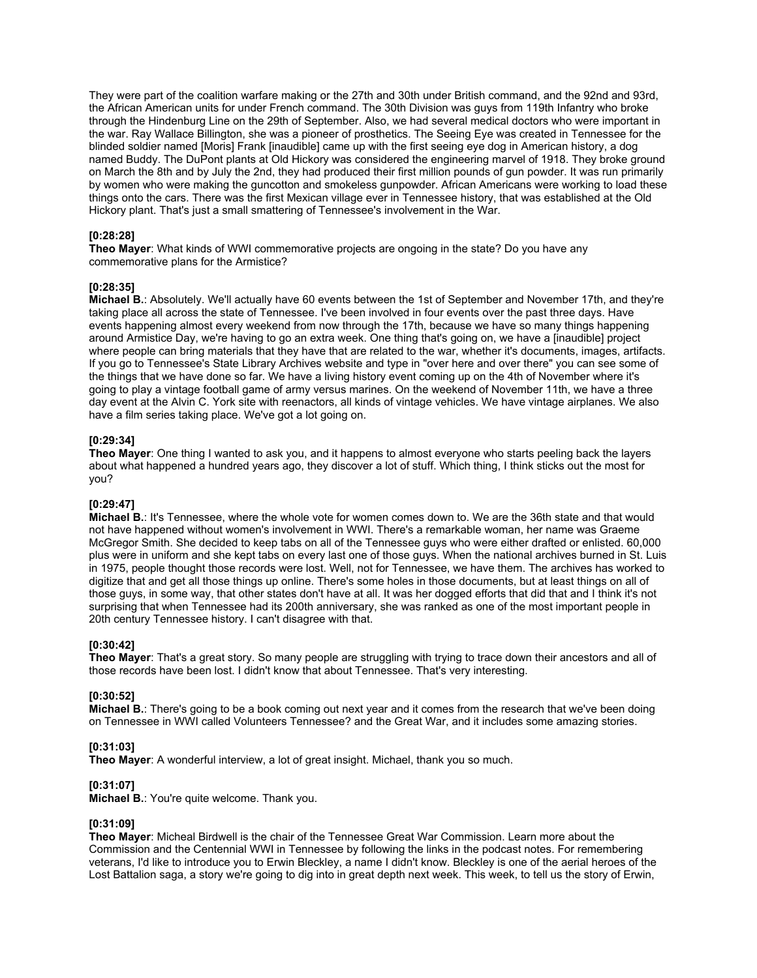They were part of the coalition warfare making or the 27th and 30th under British command, and the 92nd and 93rd, the African American units for under French command. The 30th Division was guys from 119th Infantry who broke through the Hindenburg Line on the 29th of September. Also, we had several medical doctors who were important in the war. Ray Wallace Billington, she was a pioneer of prosthetics. The Seeing Eye was created in Tennessee for the blinded soldier named [Moris] Frank [inaudible] came up with the first seeing eye dog in American history, a dog named Buddy. The DuPont plants at Old Hickory was considered the engineering marvel of 1918. They broke ground on March the 8th and by July the 2nd, they had produced their first million pounds of gun powder. It was run primarily by women who were making the guncotton and smokeless gunpowder. African Americans were working to load these things onto the cars. There was the first Mexican village ever in Tennessee history, that was established at the Old Hickory plant. That's just a small smattering of Tennessee's involvement in the War.

# **[0:28:28]**

**Theo Mayer**: What kinds of WWI commemorative projects are ongoing in the state? Do you have any commemorative plans for the Armistice?

### **[0:28:35]**

**Michael B.**: Absolutely. We'll actually have 60 events between the 1st of September and November 17th, and they're taking place all across the state of Tennessee. I've been involved in four events over the past three days. Have events happening almost every weekend from now through the 17th, because we have so many things happening around Armistice Day, we're having to go an extra week. One thing that's going on, we have a [inaudible] project where people can bring materials that they have that are related to the war, whether it's documents, images, artifacts. If you go to Tennessee's State Library Archives website and type in "over here and over there" you can see some of the things that we have done so far. We have a living history event coming up on the 4th of November where it's going to play a vintage football game of army versus marines. On the weekend of November 11th, we have a three day event at the Alvin C. York site with reenactors, all kinds of vintage vehicles. We have vintage airplanes. We also have a film series taking place. We've got a lot going on.

### **[0:29:34]**

**Theo Mayer**: One thing I wanted to ask you, and it happens to almost everyone who starts peeling back the layers about what happened a hundred years ago, they discover a lot of stuff. Which thing, I think sticks out the most for you?

### **[0:29:47]**

**Michael B.**: It's Tennessee, where the whole vote for women comes down to. We are the 36th state and that would not have happened without women's involvement in WWI. There's a remarkable woman, her name was Graeme McGregor Smith. She decided to keep tabs on all of the Tennessee guys who were either drafted or enlisted. 60,000 plus were in uniform and she kept tabs on every last one of those guys. When the national archives burned in St. Luis in 1975, people thought those records were lost. Well, not for Tennessee, we have them. The archives has worked to digitize that and get all those things up online. There's some holes in those documents, but at least things on all of those guys, in some way, that other states don't have at all. It was her dogged efforts that did that and I think it's not surprising that when Tennessee had its 200th anniversary, she was ranked as one of the most important people in 20th century Tennessee history. I can't disagree with that.

# **[0:30:42]**

**Theo Mayer**: That's a great story. So many people are struggling with trying to trace down their ancestors and all of those records have been lost. I didn't know that about Tennessee. That's very interesting.

### **[0:30:52]**

**Michael B.**: There's going to be a book coming out next year and it comes from the research that we've been doing on Tennessee in WWI called Volunteers Tennessee? and the Great War, and it includes some amazing stories.

### **[0:31:03]**

**Theo Mayer**: A wonderful interview, a lot of great insight. Michael, thank you so much.

### **[0:31:07]**

**Michael B.**: You're quite welcome. Thank you.

### **[0:31:09]**

**Theo Mayer**: Micheal Birdwell is the chair of the Tennessee Great War Commission. Learn more about the Commission and the Centennial WWI in Tennessee by following the links in the podcast notes. For remembering veterans, I'd like to introduce you to Erwin Bleckley, a name I didn't know. Bleckley is one of the aerial heroes of the Lost Battalion saga, a story we're going to dig into in great depth next week. This week, to tell us the story of Erwin,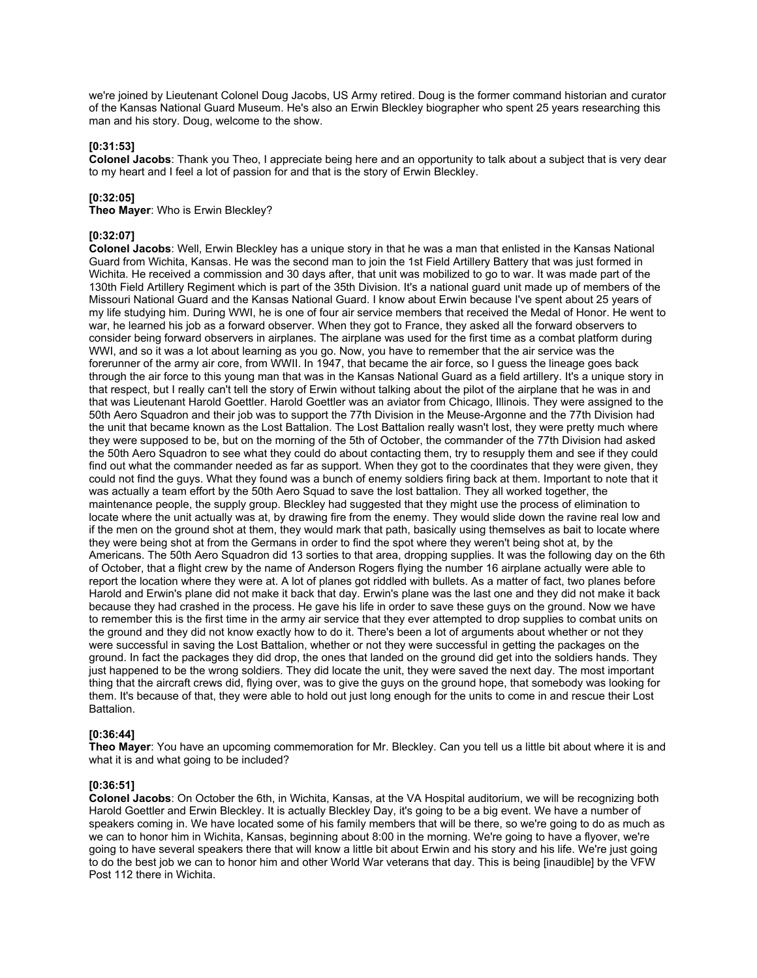we're joined by Lieutenant Colonel Doug Jacobs, US Army retired. Doug is the former command historian and curator of the Kansas National Guard Museum. He's also an Erwin Bleckley biographer who spent 25 years researching this man and his story. Doug, welcome to the show.

## **[0:31:53]**

**Colonel Jacobs**: Thank you Theo, I appreciate being here and an opportunity to talk about a subject that is very dear to my heart and I feel a lot of passion for and that is the story of Erwin Bleckley.

## **[0:32:05]**

**Theo Mayer**: Who is Erwin Bleckley?

## **[0:32:07]**

**Colonel Jacobs**: Well, Erwin Bleckley has a unique story in that he was a man that enlisted in the Kansas National Guard from Wichita, Kansas. He was the second man to join the 1st Field Artillery Battery that was just formed in Wichita. He received a commission and 30 days after, that unit was mobilized to go to war. It was made part of the 130th Field Artillery Regiment which is part of the 35th Division. It's a national guard unit made up of members of the Missouri National Guard and the Kansas National Guard. I know about Erwin because I've spent about 25 years of my life studying him. During WWI, he is one of four air service members that received the Medal of Honor. He went to war, he learned his job as a forward observer. When they got to France, they asked all the forward observers to consider being forward observers in airplanes. The airplane was used for the first time as a combat platform during WWI, and so it was a lot about learning as you go. Now, you have to remember that the air service was the forerunner of the army air core, from WWII. In 1947, that became the air force, so I guess the lineage goes back through the air force to this young man that was in the Kansas National Guard as a field artillery. It's a unique story in that respect, but I really can't tell the story of Erwin without talking about the pilot of the airplane that he was in and that was Lieutenant Harold Goettler. Harold Goettler was an aviator from Chicago, Illinois. They were assigned to the 50th Aero Squadron and their job was to support the 77th Division in the Meuse-Argonne and the 77th Division had the unit that became known as the Lost Battalion. The Lost Battalion really wasn't lost, they were pretty much where they were supposed to be, but on the morning of the 5th of October, the commander of the 77th Division had asked the 50th Aero Squadron to see what they could do about contacting them, try to resupply them and see if they could find out what the commander needed as far as support. When they got to the coordinates that they were given, they could not find the guys. What they found was a bunch of enemy soldiers firing back at them. Important to note that it was actually a team effort by the 50th Aero Squad to save the lost battalion. They all worked together, the maintenance people, the supply group. Bleckley had suggested that they might use the process of elimination to locate where the unit actually was at, by drawing fire from the enemy. They would slide down the ravine real low and if the men on the ground shot at them, they would mark that path, basically using themselves as bait to locate where they were being shot at from the Germans in order to find the spot where they weren't being shot at, by the Americans. The 50th Aero Squadron did 13 sorties to that area, dropping supplies. It was the following day on the 6th of October, that a flight crew by the name of Anderson Rogers flying the number 16 airplane actually were able to report the location where they were at. A lot of planes got riddled with bullets. As a matter of fact, two planes before Harold and Erwin's plane did not make it back that day. Erwin's plane was the last one and they did not make it back because they had crashed in the process. He gave his life in order to save these guys on the ground. Now we have to remember this is the first time in the army air service that they ever attempted to drop supplies to combat units on the ground and they did not know exactly how to do it. There's been a lot of arguments about whether or not they were successful in saving the Lost Battalion, whether or not they were successful in getting the packages on the ground. In fact the packages they did drop, the ones that landed on the ground did get into the soldiers hands. They just happened to be the wrong soldiers. They did locate the unit, they were saved the next day. The most important thing that the aircraft crews did, flying over, was to give the guys on the ground hope, that somebody was looking for them. It's because of that, they were able to hold out just long enough for the units to come in and rescue their Lost Battalion.

# **[0:36:44]**

**Theo Mayer**: You have an upcoming commemoration for Mr. Bleckley. Can you tell us a little bit about where it is and what it is and what going to be included?

### **[0:36:51]**

**Colonel Jacobs**: On October the 6th, in Wichita, Kansas, at the VA Hospital auditorium, we will be recognizing both Harold Goettler and Erwin Bleckley. It is actually Bleckley Day, it's going to be a big event. We have a number of speakers coming in. We have located some of his family members that will be there, so we're going to do as much as we can to honor him in Wichita, Kansas, beginning about 8:00 in the morning. We're going to have a flyover, we're going to have several speakers there that will know a little bit about Erwin and his story and his life. We're just going to do the best job we can to honor him and other World War veterans that day. This is being [inaudible] by the VFW Post 112 there in Wichita.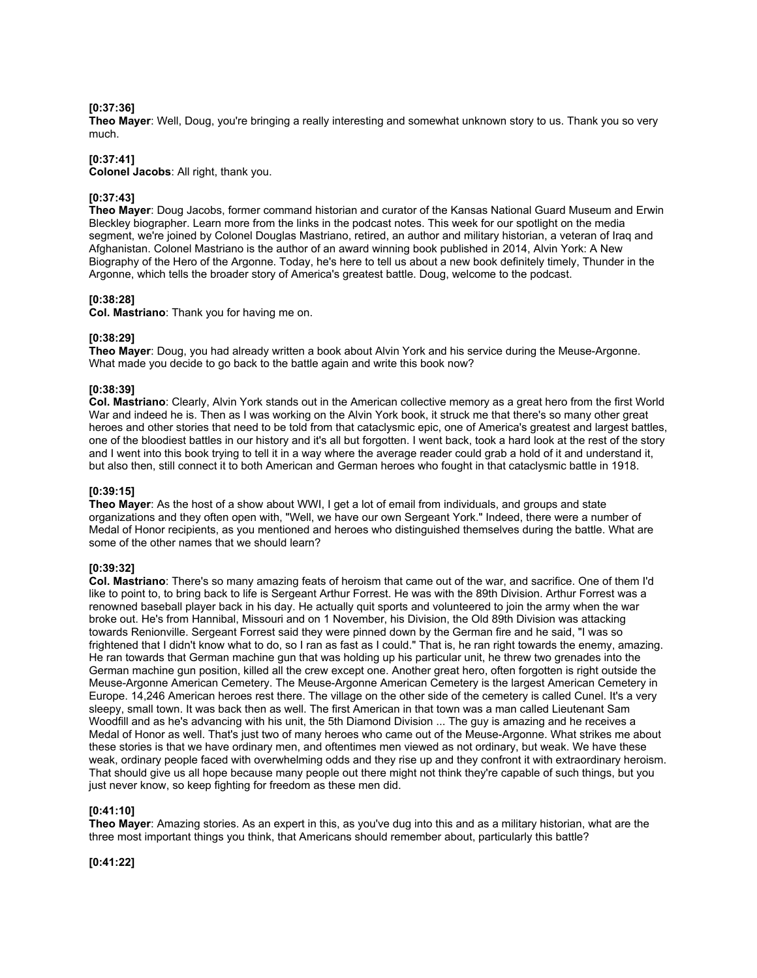## **[0:37:36]**

**Theo Mayer**: Well, Doug, you're bringing a really interesting and somewhat unknown story to us. Thank you so very much.

## **[0:37:41]**

**Colonel Jacobs**: All right, thank you.

## **[0:37:43]**

**Theo Mayer**: Doug Jacobs, former command historian and curator of the Kansas National Guard Museum and Erwin Bleckley biographer. Learn more from the links in the podcast notes. This week for our spotlight on the media segment, we're joined by Colonel Douglas Mastriano, retired, an author and military historian, a veteran of Iraq and Afghanistan. Colonel Mastriano is the author of an award winning book published in 2014, Alvin York: A New Biography of the Hero of the Argonne. Today, he's here to tell us about a new book definitely timely, Thunder in the Argonne, which tells the broader story of America's greatest battle. Doug, welcome to the podcast.

## **[0:38:28]**

**Col. Mastriano**: Thank you for having me on.

## **[0:38:29]**

**Theo Mayer**: Doug, you had already written a book about Alvin York and his service during the Meuse-Argonne. What made you decide to go back to the battle again and write this book now?

## **[0:38:39]**

**Col. Mastriano**: Clearly, Alvin York stands out in the American collective memory as a great hero from the first World War and indeed he is. Then as I was working on the Alvin York book, it struck me that there's so many other great heroes and other stories that need to be told from that cataclysmic epic, one of America's greatest and largest battles, one of the bloodiest battles in our history and it's all but forgotten. I went back, took a hard look at the rest of the story and I went into this book trying to tell it in a way where the average reader could grab a hold of it and understand it, but also then, still connect it to both American and German heroes who fought in that cataclysmic battle in 1918.

### **[0:39:15]**

**Theo Mayer**: As the host of a show about WWI, I get a lot of email from individuals, and groups and state organizations and they often open with, "Well, we have our own Sergeant York." Indeed, there were a number of Medal of Honor recipients, as you mentioned and heroes who distinguished themselves during the battle. What are some of the other names that we should learn?

### **[0:39:32]**

**Col. Mastriano**: There's so many amazing feats of heroism that came out of the war, and sacrifice. One of them I'd like to point to, to bring back to life is Sergeant Arthur Forrest. He was with the 89th Division. Arthur Forrest was a renowned baseball player back in his day. He actually quit sports and volunteered to join the army when the war broke out. He's from Hannibal, Missouri and on 1 November, his Division, the Old 89th Division was attacking towards Renionville. Sergeant Forrest said they were pinned down by the German fire and he said, "I was so frightened that I didn't know what to do, so I ran as fast as I could." That is, he ran right towards the enemy, amazing. He ran towards that German machine gun that was holding up his particular unit, he threw two grenades into the German machine gun position, killed all the crew except one. Another great hero, often forgotten is right outside the Meuse-Argonne American Cemetery. The Meuse-Argonne American Cemetery is the largest American Cemetery in Europe. 14,246 American heroes rest there. The village on the other side of the cemetery is called Cunel. It's a very sleepy, small town. It was back then as well. The first American in that town was a man called Lieutenant Sam Woodfill and as he's advancing with his unit, the 5th Diamond Division ... The guy is amazing and he receives a Medal of Honor as well. That's just two of many heroes who came out of the Meuse-Argonne. What strikes me about these stories is that we have ordinary men, and oftentimes men viewed as not ordinary, but weak. We have these weak, ordinary people faced with overwhelming odds and they rise up and they confront it with extraordinary heroism. That should give us all hope because many people out there might not think they're capable of such things, but you just never know, so keep fighting for freedom as these men did.

### **[0:41:10]**

**Theo Mayer**: Amazing stories. As an expert in this, as you've dug into this and as a military historian, what are the three most important things you think, that Americans should remember about, particularly this battle?

## **[0:41:22]**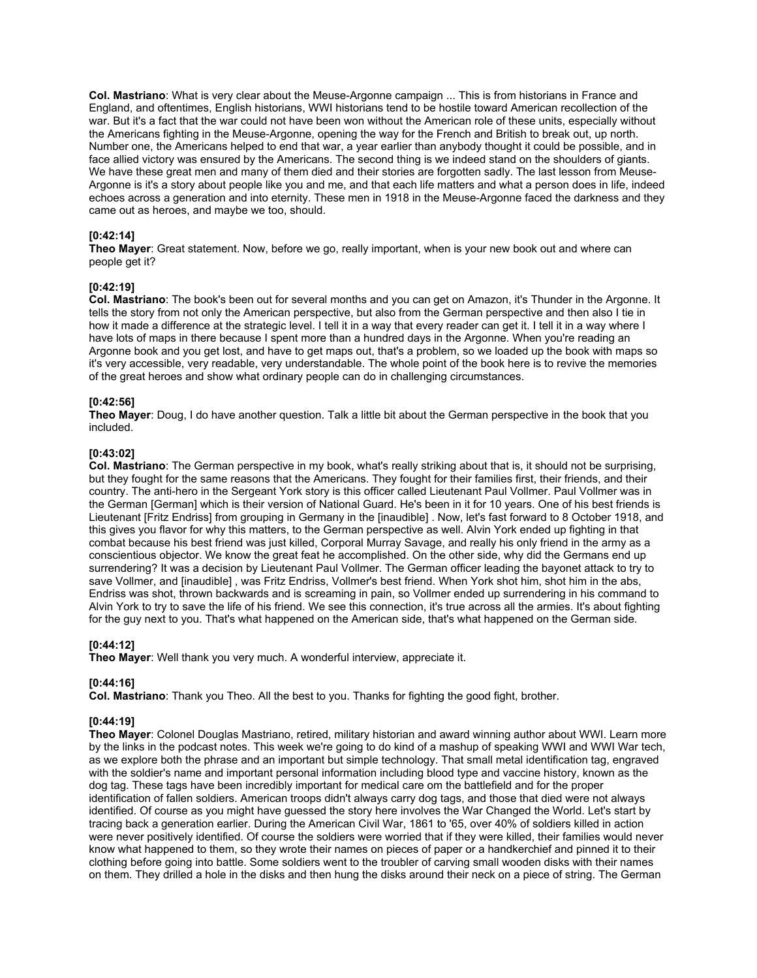**Col. Mastriano**: What is very clear about the Meuse-Argonne campaign ... This is from historians in France and England, and oftentimes, English historians, WWI historians tend to be hostile toward American recollection of the war. But it's a fact that the war could not have been won without the American role of these units, especially without the Americans fighting in the Meuse-Argonne, opening the way for the French and British to break out, up north. Number one, the Americans helped to end that war, a year earlier than anybody thought it could be possible, and in face allied victory was ensured by the Americans. The second thing is we indeed stand on the shoulders of giants. We have these great men and many of them died and their stories are forgotten sadly. The last lesson from Meuse-Argonne is it's a story about people like you and me, and that each life matters and what a person does in life, indeed echoes across a generation and into eternity. These men in 1918 in the Meuse-Argonne faced the darkness and they came out as heroes, and maybe we too, should.

## **[0:42:14]**

**Theo Mayer**: Great statement. Now, before we go, really important, when is your new book out and where can people get it?

### **[0:42:19]**

**Col. Mastriano**: The book's been out for several months and you can get on Amazon, it's Thunder in the Argonne. It tells the story from not only the American perspective, but also from the German perspective and then also I tie in how it made a difference at the strategic level. I tell it in a way that every reader can get it. I tell it in a way where I have lots of maps in there because I spent more than a hundred days in the Argonne. When you're reading an Argonne book and you get lost, and have to get maps out, that's a problem, so we loaded up the book with maps so it's very accessible, very readable, very understandable. The whole point of the book here is to revive the memories of the great heroes and show what ordinary people can do in challenging circumstances.

## **[0:42:56]**

**Theo Mayer**: Doug, I do have another question. Talk a little bit about the German perspective in the book that you included.

### **[0:43:02]**

**Col. Mastriano**: The German perspective in my book, what's really striking about that is, it should not be surprising, but they fought for the same reasons that the Americans. They fought for their families first, their friends, and their country. The anti-hero in the Sergeant York story is this officer called Lieutenant Paul Vollmer. Paul Vollmer was in the German [German] which is their version of National Guard. He's been in it for 10 years. One of his best friends is Lieutenant [Fritz Endriss] from grouping in Germany in the [inaudible] . Now, let's fast forward to 8 October 1918, and this gives you flavor for why this matters, to the German perspective as well. Alvin York ended up fighting in that combat because his best friend was just killed, Corporal Murray Savage, and really his only friend in the army as a conscientious objector. We know the great feat he accomplished. On the other side, why did the Germans end up surrendering? It was a decision by Lieutenant Paul Vollmer. The German officer leading the bayonet attack to try to save Vollmer, and [inaudible], was Fritz Endriss, Vollmer's best friend. When York shot him, shot him in the abs. Endriss was shot, thrown backwards and is screaming in pain, so Vollmer ended up surrendering in his command to Alvin York to try to save the life of his friend. We see this connection, it's true across all the armies. It's about fighting for the guy next to you. That's what happened on the American side, that's what happened on the German side.

## **[0:44:12]**

**Theo Mayer**: Well thank you very much. A wonderful interview, appreciate it.

#### **[0:44:16]**

**Col. Mastriano**: Thank you Theo. All the best to you. Thanks for fighting the good fight, brother.

### **[0:44:19]**

**Theo Mayer**: Colonel Douglas Mastriano, retired, military historian and award winning author about WWI. Learn more by the links in the podcast notes. This week we're going to do kind of a mashup of speaking WWI and WWI War tech, as we explore both the phrase and an important but simple technology. That small metal identification tag, engraved with the soldier's name and important personal information including blood type and vaccine history, known as the dog tag. These tags have been incredibly important for medical care om the battlefield and for the proper identification of fallen soldiers. American troops didn't always carry dog tags, and those that died were not always identified. Of course as you might have guessed the story here involves the War Changed the World. Let's start by tracing back a generation earlier. During the American Civil War, 1861 to '65, over 40% of soldiers killed in action were never positively identified. Of course the soldiers were worried that if they were killed, their families would never know what happened to them, so they wrote their names on pieces of paper or a handkerchief and pinned it to their clothing before going into battle. Some soldiers went to the troubler of carving small wooden disks with their names on them. They drilled a hole in the disks and then hung the disks around their neck on a piece of string. The German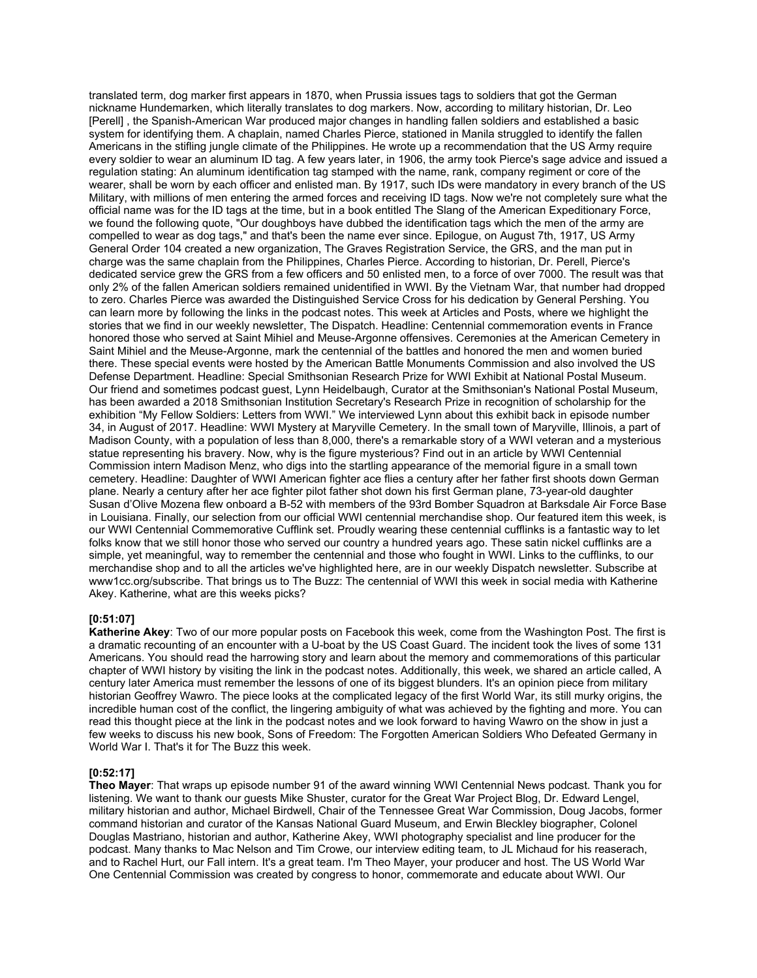translated term, dog marker first appears in 1870, when Prussia issues tags to soldiers that got the German nickname Hundemarken, which literally translates to dog markers. Now, according to military historian, Dr. Leo [Perell] , the Spanish-American War produced major changes in handling fallen soldiers and established a basic system for identifying them. A chaplain, named Charles Pierce, stationed in Manila struggled to identify the fallen Americans in the stifling jungle climate of the Philippines. He wrote up a recommendation that the US Army require every soldier to wear an aluminum ID tag. A few years later, in 1906, the army took Pierce's sage advice and issued a regulation stating: An aluminum identification tag stamped with the name, rank, company regiment or core of the wearer, shall be worn by each officer and enlisted man. By 1917, such IDs were mandatory in every branch of the US Military, with millions of men entering the armed forces and receiving ID tags. Now we're not completely sure what the official name was for the ID tags at the time, but in a book entitled The Slang of the American Expeditionary Force, we found the following quote, "Our doughboys have dubbed the identification tags which the men of the army are compelled to wear as dog tags," and that's been the name ever since. Epilogue, on August 7th, 1917, US Army General Order 104 created a new organization, The Graves Registration Service, the GRS, and the man put in charge was the same chaplain from the Philippines, Charles Pierce. According to historian, Dr. Perell, Pierce's dedicated service grew the GRS from a few officers and 50 enlisted men, to a force of over 7000. The result was that only 2% of the fallen American soldiers remained unidentified in WWI. By the Vietnam War, that number had dropped to zero. Charles Pierce was awarded the Distinguished Service Cross for his dedication by General Pershing. You can learn more by following the links in the podcast notes. This week at Articles and Posts, where we highlight the stories that we find in our weekly newsletter, The Dispatch. Headline: Centennial commemoration events in France honored those who served at Saint Mihiel and Meuse-Argonne offensives. Ceremonies at the American Cemetery in Saint Mihiel and the Meuse-Argonne, mark the centennial of the battles and honored the men and women buried there. These special events were hosted by the American Battle Monuments Commission and also involved the US Defense Department. Headline: Special Smithsonian Research Prize for WWI Exhibit at National Postal Museum. Our friend and sometimes podcast guest, Lynn Heidelbaugh, Curator at the Smithsonian's National Postal Museum, has been awarded a 2018 Smithsonian Institution Secretary's Research Prize in recognition of scholarship for the exhibition "My Fellow Soldiers: Letters from WWI." We interviewed Lynn about this exhibit back in episode number 34, in August of 2017. Headline: WWI Mystery at Maryville Cemetery. In the small town of Maryville, Illinois, a part of Madison County, with a population of less than 8,000, there's a remarkable story of a WWI veteran and a mysterious statue representing his bravery. Now, why is the figure mysterious? Find out in an article by WWI Centennial Commission intern Madison Menz, who digs into the startling appearance of the memorial figure in a small town cemetery. Headline: Daughter of WWI American fighter ace flies a century after her father first shoots down German plane. Nearly a century after her ace fighter pilot father shot down his first German plane, 73-year-old daughter Susan d'Olive Mozena flew onboard a B-52 with members of the 93rd Bomber Squadron at Barksdale Air Force Base in Louisiana. Finally, our selection from our official WWI centennial merchandise shop. Our featured item this week, is our WWI Centennial Commemorative Cufflink set. Proudly wearing these centennial cufflinks is a fantastic way to let folks know that we still honor those who served our country a hundred years ago. These satin nickel cufflinks are a simple, yet meaningful, way to remember the centennial and those who fought in WWI. Links to the cufflinks, to our merchandise shop and to all the articles we've highlighted here, are in our weekly Dispatch newsletter. Subscribe at www1cc.org/subscribe. That brings us to The Buzz: The centennial of WWI this week in social media with Katherine Akey. Katherine, what are this weeks picks?

### **[0:51:07]**

**Katherine Akey**: Two of our more popular posts on Facebook this week, come from the Washington Post. The first is a dramatic recounting of an encounter with a U-boat by the US Coast Guard. The incident took the lives of some 131 Americans. You should read the harrowing story and learn about the memory and commemorations of this particular chapter of WWI history by visiting the link in the podcast notes. Additionally, this week, we shared an article called, A century later America must remember the lessons of one of its biggest blunders. It's an opinion piece from military historian Geoffrey Wawro. The piece looks at the complicated legacy of the first World War, its still murky origins, the incredible human cost of the conflict, the lingering ambiguity of what was achieved by the fighting and more. You can read this thought piece at the link in the podcast notes and we look forward to having Wawro on the show in just a few weeks to discuss his new book, Sons of Freedom: The Forgotten American Soldiers Who Defeated Germany in World War I. That's it for The Buzz this week.

### **[0:52:17]**

**Theo Mayer**: That wraps up episode number 91 of the award winning WWI Centennial News podcast. Thank you for listening. We want to thank our guests Mike Shuster, curator for the Great War Project Blog, Dr. Edward Lengel, military historian and author, Michael Birdwell, Chair of the Tennessee Great War Commission, Doug Jacobs, former command historian and curator of the Kansas National Guard Museum, and Erwin Bleckley biographer, Colonel Douglas Mastriano, historian and author, Katherine Akey, WWI photography specialist and line producer for the podcast. Many thanks to Mac Nelson and Tim Crowe, our interview editing team, to JL Michaud for his reaserach, and to Rachel Hurt, our Fall intern. It's a great team. I'm Theo Mayer, your producer and host. The US World War One Centennial Commission was created by congress to honor, commemorate and educate about WWI. Our